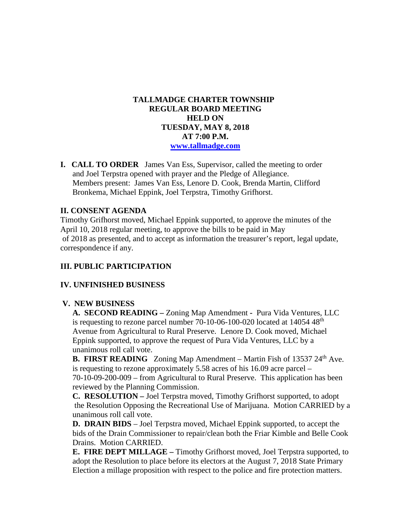# **TALLMADGE CHARTER TOWNSHIP REGULAR BOARD MEETING HELD ON TUESDAY, MAY 8, 2018 AT 7:00 P.M. [www.tallmadge.com](http://www.tallmadge.com/)**

**I. CALL TO ORDER** James Van Ess, Supervisor, called the meeting to order and Joel Terpstra opened with prayer and the Pledge of Allegiance. Members present: James Van Ess, Lenore D. Cook, Brenda Martin, Clifford Bronkema, Michael Eppink, Joel Terpstra, Timothy Grifhorst.

# **II. CONSENT AGENDA**

Timothy Grifhorst moved, Michael Eppink supported, to approve the minutes of the April 10, 2018 regular meeting, to approve the bills to be paid in May of 2018 as presented, and to accept as information the treasurer's report, legal update, correspondence if any.

## **III. PUBLIC PARTICIPATION**

#### **IV. UNFINISHED BUSINESS**

#### **V. NEW BUSINESS**

 **A. SECOND READING –** Zoning Map Amendment **-** Pura Vida Ventures, LLC is requesting to rezone parcel number 70-10-06-100-020 located at 14054 48<sup>th</sup> Avenue from Agricultural to Rural Preserve. Lenore D. Cook moved, Michael Eppink supported, to approve the request of Pura Vida Ventures, LLC by a unanimous roll call vote.

**B. FIRST READING** Zoning Map Amendment – Martin Fish of 13537 24<sup>th</sup> Ave. is requesting to rezone approximately 5.58 acres of his 16.09 acre parcel – 70-10-09-200-009 – from Agricultural to Rural Preserve. This application has been reviewed by the Planning Commission.

 **C. RESOLUTION –** Joel Terpstra moved, Timothy Grifhorst supported, to adopt the Resolution Opposing the Recreational Use of Marijuana. Motion CARRIED by a unanimous roll call vote.

 **D. DRAIN BIDS** – Joel Terpstra moved, Michael Eppink supported, to accept the bids of the Drain Commissioner to repair/clean both the Friar Kimble and Belle Cook Drains. Motion CARRIED.

 **E. FIRE DEPT MILLAGE –** Timothy Grifhorst moved, Joel Terpstra supported, to adopt the Resolution to place before its electors at the August 7, 2018 State Primary Election a millage proposition with respect to the police and fire protection matters.